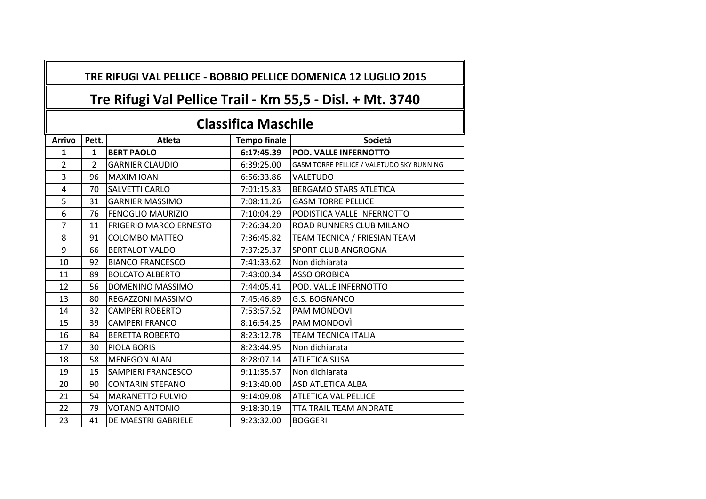|  |  | TRE RIFUGI VAL PELLICE - BOBBIO PELLICE DOMENICA 12 LUGLIO 2015 |  |
|--|--|-----------------------------------------------------------------|--|
|--|--|-----------------------------------------------------------------|--|

## **Tre Rifugi Val Pellice Trail - Km 55,5 - Disl. + Mt. 3740**

## **Classifica Maschile**

| <b>Arrivo</b>  | Pett.          | <b>Atleta</b>                 | <b>Tempo finale</b> | Società                                   |
|----------------|----------------|-------------------------------|---------------------|-------------------------------------------|
| 1              | $\mathbf{1}$   | <b>BERT PAOLO</b>             | 6:17:45.39          | <b>POD. VALLE INFERNOTTO</b>              |
| $\overline{2}$ | $\overline{2}$ | <b>GARNIER CLAUDIO</b>        | 6:39:25.00          | GASM TORRE PELLICE / VALETUDO SKY RUNNING |
| 3              | 96             | <b>MAXIM IOAN</b>             | 6:56:33.86          | <b>VALETUDO</b>                           |
| 4              | 70             | <b>SALVETTI CARLO</b>         | 7:01:15.83          | <b>BERGAMO STARS ATLETICA</b>             |
| 5              | 31             | <b>GARNIER MASSIMO</b>        | 7:08:11.26          | <b>GASM TORRE PELLICE</b>                 |
| 6              | 76             | <b>FENOGLIO MAURIZIO</b>      | 7:10:04.29          | PODISTICA VALLE INFERNOTTO                |
| $\overline{7}$ | 11             | <b>FRIGERIO MARCO ERNESTO</b> | 7:26:34.20          | ROAD RUNNERS CLUB MILANO                  |
| 8              | 91             | COLOMBO MATTEO                | 7:36:45.82          | TEAM TECNICA / FRIESIAN TEAM              |
| 9              | 66             | <b>BERTALOT VALDO</b>         | 7:37:25.37          | <b>SPORT CLUB ANGROGNA</b>                |
| 10             | 92             | <b>BIANCO FRANCESCO</b>       | 7:41:33.62          | Non dichiarata                            |
| 11             | 89             | <b>BOLCATO ALBERTO</b>        | 7:43:00.34          | <b>ASSO OROBICA</b>                       |
| 12             | 56             | DOMENINO MASSIMO              | 7:44:05.41          | POD. VALLE INFERNOTTO                     |
| 13             | 80             | <b>REGAZZONI MASSIMO</b>      | 7:45:46.89          | <b>G.S. BOGNANCO</b>                      |
| 14             | 32             | <b>CAMPERI ROBERTO</b>        | 7:53:57.52          | PAM MONDOVI'                              |
| 15             | 39             | <b>CAMPERI FRANCO</b>         | 8:16:54.25          | PAM MONDOVÌ                               |
| 16             | 84             | <b>BERETTA ROBERTO</b>        | 8:23:12.78          | <b>TEAM TECNICA ITALIA</b>                |
| 17             | 30             | <b>PIOLA BORIS</b>            | 8:23:44.95          | Non dichiarata                            |
| 18             | 58             | <b>MENEGON ALAN</b>           | 8:28:07.14          | <b>ATLETICA SUSA</b>                      |
| 19             | 15             | <b>SAMPIERI FRANCESCO</b>     | 9:11:35.57          | Non dichiarata                            |
| 20             | 90             | <b>CONTARIN STEFANO</b>       | 9:13:40.00          | <b>ASD ATLETICA ALBA</b>                  |
| 21             | 54             | <b>MARANETTO FULVIO</b>       | 9:14:09.08          | <b>ATLETICA VAL PELLICE</b>               |
| 22             | 79             | <b>VOTANO ANTONIO</b>         | 9:18:30.19          | TTA TRAIL TEAM ANDRATE                    |
| 23             | 41             | DE MAESTRI GABRIELE           | 9:23:32.00          | <b>BOGGERI</b>                            |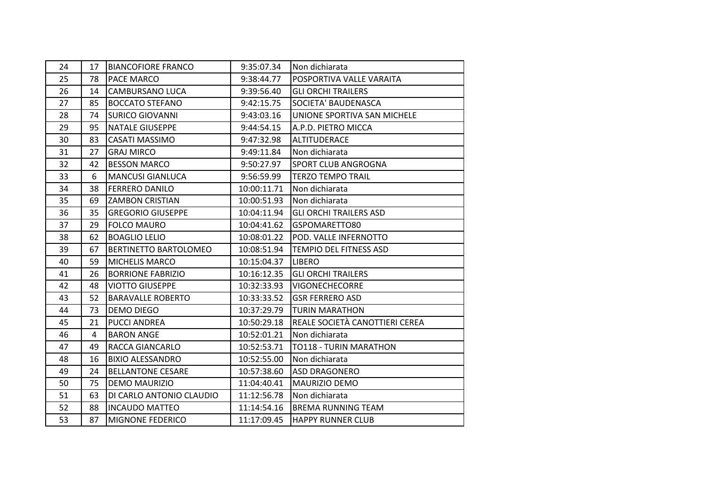| 24 | 17 | <b>BIANCOFIORE FRANCO</b> | 9:35:07.34  | Non dichiarata                 |
|----|----|---------------------------|-------------|--------------------------------|
| 25 | 78 | PACE MARCO                | 9:38:44.77  | POSPORTIVA VALLE VARAITA       |
| 26 | 14 | <b>CAMBURSANO LUCA</b>    | 9:39:56.40  | <b>GLI ORCHI TRAILERS</b>      |
| 27 | 85 | <b>BOCCATO STEFANO</b>    | 9:42:15.75  | SOCIETA' BAUDENASCA            |
| 28 | 74 | <b>SURICO GIOVANNI</b>    | 9:43:03.16  | UNIONE SPORTIVA SAN MICHELE    |
| 29 | 95 | NATALE GIUSEPPE           | 9:44:54.15  | A.P.D. PIETRO MICCA            |
| 30 | 83 | <b>CASATI MASSIMO</b>     | 9:47:32.98  | <b>ALTITUDERACE</b>            |
| 31 | 27 | <b>GRAJ MIRCO</b>         | 9:49:11.84  | Non dichiarata                 |
| 32 | 42 | <b>BESSON MARCO</b>       | 9:50:27.97  | SPORT CLUB ANGROGNA            |
| 33 | 6  | <b>MANCUSI GIANLUCA</b>   | 9:56:59.99  | <b>TERZO TEMPO TRAIL</b>       |
| 34 | 38 | <b>FERRERO DANILO</b>     | 10:00:11.71 | Non dichiarata                 |
| 35 | 69 | <b>ZAMBON CRISTIAN</b>    | 10:00:51.93 | Non dichiarata                 |
| 36 | 35 | <b>GREGORIO GIUSEPPE</b>  | 10:04:11.94 | <b>GLI ORCHI TRAILERS ASD</b>  |
| 37 | 29 | <b>FOLCO MAURO</b>        | 10:04:41.62 | GSPOMARETTO80                  |
| 38 | 62 | <b>BOAGLIO LELIO</b>      | 10:08:01.22 | POD. VALLE INFERNOTTO          |
| 39 | 67 | BERTINETTO BARTOLOMEO     | 10:08:51.94 | <b>TEMPIO DEL FITNESS ASD</b>  |
| 40 | 59 | <b>MICHELIS MARCO</b>     | 10:15:04.37 | <b>LIBERO</b>                  |
| 41 | 26 | <b>BORRIONE FABRIZIO</b>  | 10:16:12.35 | <b>GLI ORCHI TRAILERS</b>      |
| 42 | 48 | <b>VIOTTO GIUSEPPE</b>    | 10:32:33.93 | <b>VIGONECHECORRE</b>          |
| 43 | 52 | <b>BARAVALLE ROBERTO</b>  | 10:33:33.52 | <b>GSR FERRERO ASD</b>         |
| 44 | 73 | <b>DEMO DIEGO</b>         | 10:37:29.79 | <b>TURIN MARATHON</b>          |
| 45 | 21 | PUCCI ANDREA              | 10:50:29.18 | REALE SOCIETÀ CANOTTIERI CEREA |
| 46 | 4  | <b>BARON ANGE</b>         | 10:52:01.21 | Non dichiarata                 |
| 47 | 49 | RACCA GIANCARLO           | 10:52:53.71 | TO118 - TURIN MARATHON         |
| 48 | 16 | <b>BIXIO ALESSANDRO</b>   | 10:52:55.00 | Non dichiarata                 |
| 49 | 24 | <b>BELLANTONE CESARE</b>  | 10:57:38.60 | <b>ASD DRAGONERO</b>           |
| 50 | 75 | <b>DEMO MAURIZIO</b>      | 11:04:40.41 | MAURIZIO DEMO                  |
| 51 | 63 | DI CARLO ANTONIO CLAUDIO  | 11:12:56.78 | Non dichiarata                 |
| 52 | 88 | <b>INCAUDO MATTEO</b>     | 11:14:54.16 | <b>BREMA RUNNING TEAM</b>      |
| 53 | 87 | <b>MIGNONE FEDERICO</b>   | 11:17:09.45 | <b>HAPPY RUNNER CLUB</b>       |
|    |    |                           |             |                                |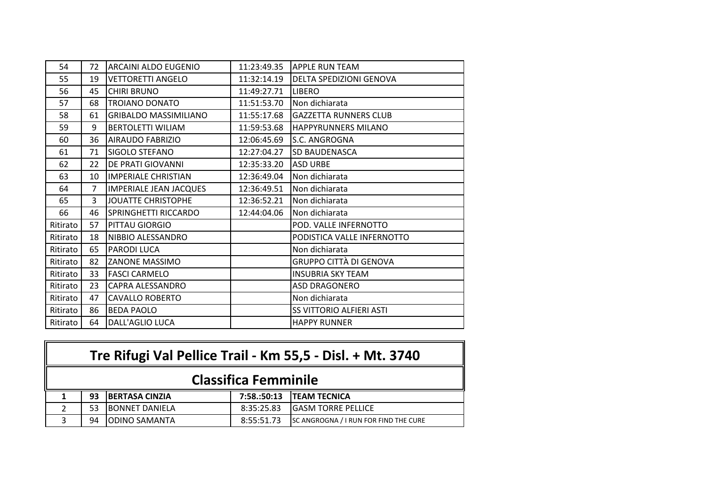| 54       | 72             | ARCAINI ALDO EUGENIO          | 11:23:49.35 | <b>APPLE RUN TEAM</b>           |
|----------|----------------|-------------------------------|-------------|---------------------------------|
| 55       | 19             | <b>VETTORETTI ANGELO</b>      | 11:32:14.19 | <b>DELTA SPEDIZIONI GENOVA</b>  |
| 56       | 45             | <b>CHIRI BRUNO</b>            | 11:49:27.71 | <b>LIBERO</b>                   |
| 57       | 68             | <b>TROIANO DONATO</b>         | 11:51:53.70 | Non dichiarata                  |
| 58       | 61             | <b>GRIBALDO MASSIMILIANO</b>  | 11:55:17.68 | <b>GAZZETTA RUNNERS CLUB</b>    |
| 59       | 9              | <b>BERTOLETTI WILIAM</b>      | 11:59:53.68 | <b>HAPPYRUNNERS MILANO</b>      |
| 60       | 36             | <b>AIRAUDO FABRIZIO</b>       | 12:06:45.69 | <b>S.C. ANGROGNA</b>            |
| 61       | 71             | SIGOLO STEFANO                | 12:27:04.27 | <b>SD BAUDENASCA</b>            |
| 62       | 22             | DE PRATI GIOVANNI             | 12:35:33.20 | <b>ASD URBE</b>                 |
| 63       | 10             | <b>IMPERIALE CHRISTIAN</b>    | 12:36:49.04 | Non dichiarata                  |
| 64       | $\overline{7}$ | <b>IMPERIALE JEAN JACQUES</b> | 12:36:49.51 | Non dichiarata                  |
| 65       | 3              | <b>JOUATTE CHRISTOPHE</b>     | 12:36:52.21 | Non dichiarata                  |
| 66       | 46             | <b>SPRINGHETTI RICCARDO</b>   | 12:44:04.06 | Non dichiarata                  |
| Ritirato | 57             | PITTAU GIORGIO                |             | POD. VALLE INFERNOTTO           |
| Ritirato | 18             | NIBBIO ALESSANDRO             |             | PODISTICA VALLE INFERNOTTO      |
| Ritirato | 65             | <b>PARODI LUCA</b>            |             | Non dichiarata                  |
| Ritirato | 82             | <b>ZANONE MASSIMO</b>         |             | GRUPPO CITTÀ DI GENOVA          |
| Ritirato | 33             | <b>FASCI CARMELO</b>          |             | <b>INSUBRIA SKY TEAM</b>        |
| Ritirato | 23             | <b>CAPRA ALESSANDRO</b>       |             | <b>ASD DRAGONERO</b>            |
| Ritirato | 47             | <b>CAVALLO ROBERTO</b>        |             | Non dichiarata                  |
| Ritirato | 86             | <b>BEDA PAOLO</b>             |             | <b>SS VITTORIO ALFIERI ASTI</b> |
| Ritirato | 64             | DALL'AGLIO LUCA               |             | <b>HAPPY RUNNER</b>             |

| Tre Rifugi Val Pellice Trail - Km 55,5 - Disl. + Mt. 3740 |    |                       |            |                                       |
|-----------------------------------------------------------|----|-----------------------|------------|---------------------------------------|
| <b>Classifica Femminile</b>                               |    |                       |            |                                       |
| 1                                                         | 93 | <b>BERTASA CINZIA</b> |            | 7:58.:50:13   TEAM TECNICA            |
| $\overline{2}$                                            | 53 | <b>BONNET DANIELA</b> | 8:35:25.83 | <b>GASM TORRE PELLICE</b>             |
| 3                                                         | 94 | <b>ODINO SAMANTA</b>  | 8:55:51.73 | SC ANGROGNA / I RUN FOR FIND THE CURE |

 $\overline{\phantom{0}}$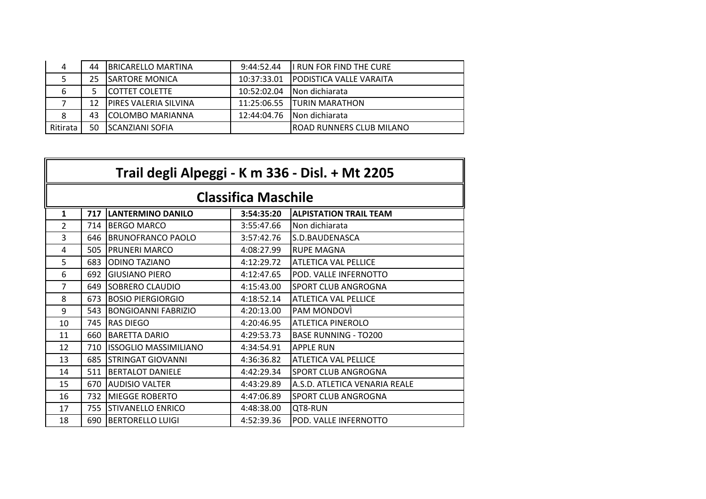| 4        | 44 | <b>IBRICARELLO MARTINA</b>   | 9:44:52.44  | I RUN FOR FIND THE CURE              |
|----------|----|------------------------------|-------------|--------------------------------------|
|          | 25 | <b>SARTORE MONICA</b>        |             | 10:37:33.01 IPODISTICA VALLE VARAITA |
| 6        |    | <b>COTTET COLETTE</b>        | 10:52:02.04 | INon dichiarata                      |
|          |    | <b>PIRES VALERIA SILVINA</b> |             | 11:25:06.55 ITURIN MARATHON          |
| 8        | 43 | <b>COLOMBO MARIANNA</b>      |             | 12:44:04.76 Non dichiarata           |
| Ritirata | 50 | ISCANZIANI SOFIA             |             | <b>ROAD RUNNERS CLUB MILANO</b>      |

| Trail degli Alpeggi - K m 336 - Disl. + Mt 2205 |     |                              |                            |                               |
|-------------------------------------------------|-----|------------------------------|----------------------------|-------------------------------|
|                                                 |     |                              | <b>Classifica Maschile</b> |                               |
| 1                                               | 717 | <b>LANTERMINO DANILO</b>     | 3:54:35:20                 | <b>ALPISTATION TRAIL TEAM</b> |
| 2                                               | 714 | <b>BERGO MARCO</b>           | 3:55:47.66                 | Non dichiarata                |
| 3                                               | 646 | <b>BRUNOFRANCO PAOLO</b>     | 3:57:42.76                 | S.D.BAUDENASCA                |
| 4                                               | 505 | <b>PRUNERI MARCO</b>         | 4:08:27.99                 | <b>RUPE MAGNA</b>             |
| 5                                               | 683 | <b>ODINO TAZIANO</b>         | 4:12:29.72                 | <b>ATLETICA VAL PELLICE</b>   |
| 6                                               | 692 | <b>GIUSIANO PIERO</b>        | 4:12:47.65                 | POD. VALLE INFERNOTTO         |
| 7                                               | 649 | <b>SOBRERO CLAUDIO</b>       | 4:15:43.00                 | <b>SPORT CLUB ANGROGNA</b>    |
| 8                                               | 673 | <b>BOSIO PIERGIORGIO</b>     | 4:18:52.14                 | <b>ATLETICA VAL PELLICE</b>   |
| 9                                               | 543 | <b>BONGIOANNI FABRIZIO</b>   | 4:20:13.00                 | PAM MONDOVI                   |
| 10                                              | 745 | <b>RAS DIEGO</b>             | 4:20:46.95                 | <b>ATLETICA PINEROLO</b>      |
| 11                                              | 660 | <b>BARETTA DARIO</b>         | 4:29:53.73                 | <b>BASE RUNNING - TO200</b>   |
| 12                                              | 710 | <b>ISSOGLIO MASSIMILIANO</b> | 4:34:54.91                 | <b>APPLE RUN</b>              |
| 13                                              | 685 | <b>STRINGAT GIOVANNI</b>     | 4:36:36.82                 | <b>ATLETICA VAL PELLICE</b>   |
| 14                                              | 511 | <b>BERTALOT DANIELE</b>      | 4:42:29.34                 | <b>SPORT CLUB ANGROGNA</b>    |
| 15                                              | 670 | AUDISIO VALTER               | 4:43:29.89                 | A.S.D. ATLETICA VENARIA REALE |
| 16                                              | 732 | MIEGGE ROBERTO               | 4:47:06.89                 | <b>SPORT CLUB ANGROGNA</b>    |
| 17                                              | 755 | <b>STIVANELLO ENRICO</b>     | 4:48:38.00                 | OT8-RUN                       |
| 18                                              | 690 | <b>BERTORELLO LUIGI</b>      | 4:52:39.36                 | POD. VALLE INFERNOTTO         |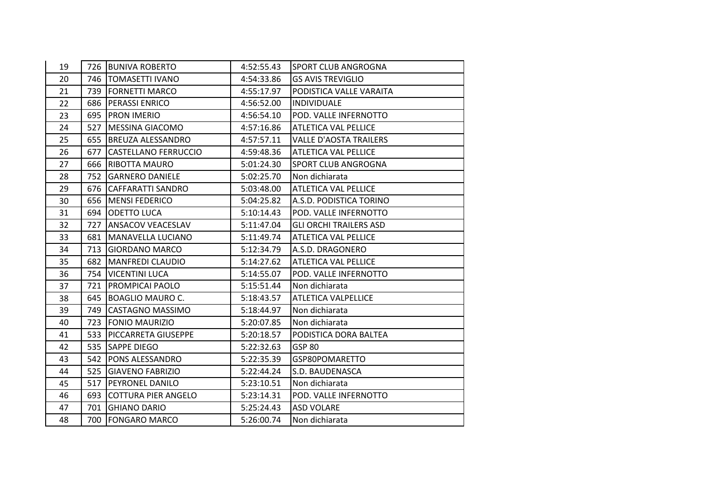| 19 |     | 726 BUNIVA ROBERTO         | 4:52:55.43 | <b>SPORT CLUB ANGROGNA</b>    |
|----|-----|----------------------------|------------|-------------------------------|
| 20 |     | 746   TOMASETTI IVANO      | 4:54:33.86 | <b>GS AVIS TREVIGLIO</b>      |
| 21 |     | 739   FORNETTI MARCO       | 4:55:17.97 | PODISTICA VALLE VARAITA       |
| 22 |     | 686 PERASSI ENRICO         | 4:56:52.00 | <b>INDIVIDUALE</b>            |
| 23 |     | 695   PRON IMERIO          | 4:56:54.10 | POD. VALLE INFERNOTTO         |
| 24 | 527 | MESSINA GIACOMO            | 4:57:16.86 | <b>ATLETICA VAL PELLICE</b>   |
| 25 |     | 655 BREUZA ALESSANDRO      | 4:57:57.11 | <b>VALLE D'AOSTA TRAILERS</b> |
| 26 | 677 | CASTELLANO FERRUCCIO       | 4:59:48.36 | <b>ATLETICA VAL PELLICE</b>   |
| 27 | 666 | <b>RIBOTTA MAURO</b>       | 5:01:24.30 | SPORT CLUB ANGROGNA           |
| 28 |     | 752 GARNERO DANIELE        | 5:02:25.70 | Non dichiarata                |
| 29 |     | 676 CAFFARATTI SANDRO      | 5:03:48.00 | <b>ATLETICA VAL PELLICE</b>   |
| 30 |     | 656   MENSI FEDERICO       | 5:04:25.82 | A.S.D. PODISTICA TORINO       |
| 31 |     | 694   ODETTO LUCA          | 5:10:14.43 | POD. VALLE INFERNOTTO         |
| 32 |     | 727 ANSACOV VEACESLAV      | 5:11:47.04 | <b>GLI ORCHI TRAILERS ASD</b> |
| 33 |     | 681   MANAVELLA LUCIANO    | 5:11:49.74 | <b>ATLETICA VAL PELLICE</b>   |
| 34 | 713 | <b>GIORDANO MARCO</b>      | 5:12:34.79 | A.S.D. DRAGONERO              |
| 35 | 682 | <b>MANFREDI CLAUDIO</b>    | 5:14:27.62 | <b>ATLETICA VAL PELLICE</b>   |
| 36 |     | 754   VICENTINI LUCA       | 5:14:55.07 | POD. VALLE INFERNOTTO         |
| 37 |     | 721   PROMPICAI PAOLO      | 5:15:51.44 | Non dichiarata                |
| 38 | 645 | <b>BOAGLIO MAURO C.</b>    | 5:18:43.57 | ATLETICA VALPELLICE           |
| 39 | 749 | <b>CASTAGNO MASSIMO</b>    | 5:18:44.97 | Non dichiarata                |
| 40 | 723 | <b>FONIO MAURIZIO</b>      | 5:20:07.85 | Non dichiarata                |
| 41 |     | 533 PICCARRETA GIUSEPPE    | 5:20:18.57 | PODISTICA DORA BALTEA         |
| 42 | 535 | <b>SAPPE DIEGO</b>         | 5:22:32.63 | <b>GSP 80</b>                 |
| 43 | 542 | <b>PONS ALESSANDRO</b>     | 5:22:35.39 | GSP80POMARETTO                |
| 44 | 525 | <b>GIAVENO FABRIZIO</b>    | 5:22:44.24 | S.D. BAUDENASCA               |
| 45 | 517 | <b>PEYRONEL DANILO</b>     | 5:23:10.51 | Non dichiarata                |
| 46 | 693 | <b>COTTURA PIER ANGELO</b> | 5:23:14.31 | POD. VALLE INFERNOTTO         |
| 47 | 701 | <b>GHIANO DARIO</b>        | 5:25:24.43 | <b>ASD VOLARE</b>             |
| 48 | 700 | <b>FONGARO MARCO</b>       | 5:26:00.74 | Non dichiarata                |
|    |     |                            |            |                               |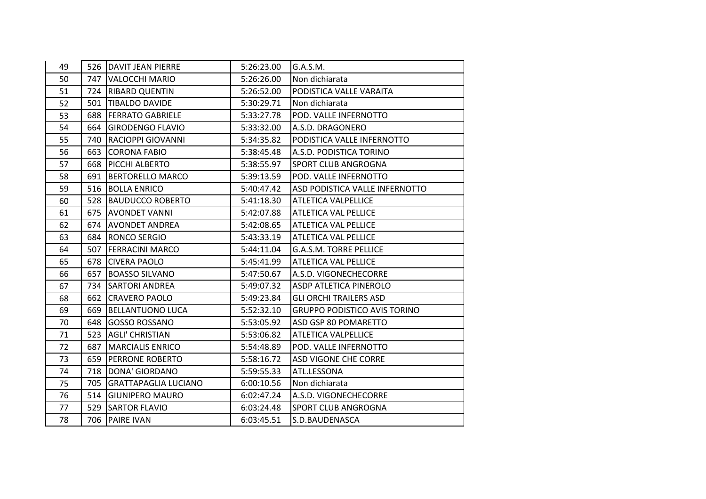| 49 |     | 526 DAVIT JEAN PIERRE    | 5:26:23.00 | G.A.S.M.                            |
|----|-----|--------------------------|------------|-------------------------------------|
| 50 | 747 | VALOCCHI MARIO           | 5:26:26.00 | Non dichiarata                      |
| 51 |     | 724 RIBARD QUENTIN       | 5:26:52.00 | PODISTICA VALLE VARAITA             |
| 52 | 501 | <b>TIBALDO DAVIDE</b>    | 5:30:29.71 | Non dichiarata                      |
| 53 | 688 | <b>FERRATO GABRIELE</b>  | 5:33:27.78 | POD. VALLE INFERNOTTO               |
| 54 | 664 | <b>GIRODENGO FLAVIO</b>  | 5:33:32.00 | A.S.D. DRAGONERO                    |
| 55 | 740 | <b>RACIOPPI GIOVANNI</b> | 5:34:35.82 | PODISTICA VALLE INFERNOTTO          |
| 56 | 663 | <b>CORONA FABIO</b>      | 5:38:45.48 | A.S.D. PODISTICA TORINO             |
| 57 | 668 | PICCHI ALBERTO           | 5:38:55.97 | SPORT CLUB ANGROGNA                 |
| 58 | 691 | <b>BERTORELLO MARCO</b>  | 5:39:13.59 | POD. VALLE INFERNOTTO               |
| 59 |     | 516 BOLLA ENRICO         | 5:40:47.42 | ASD PODISTICA VALLE INFERNOTTO      |
| 60 | 528 | <b>BAUDUCCO ROBERTO</b>  | 5:41:18.30 | <b>ATLETICA VALPELLICE</b>          |
| 61 | 675 | <b>AVONDET VANNI</b>     | 5:42:07.88 | <b>ATLETICA VAL PELLICE</b>         |
| 62 |     | 674   AVONDET ANDREA     | 5:42:08.65 | ATLETICA VAL PELLICE                |
| 63 |     | 684   RONCO SERGIO       | 5:43:33.19 | ATLETICA VAL PELLICE                |
| 64 | 507 | <b>FERRACINI MARCO</b>   | 5:44:11.04 | <b>G.A.S.M. TORRE PELLICE</b>       |
| 65 | 678 | <b>CIVERA PAOLO</b>      | 5:45:41.99 | <b>ATLETICA VAL PELLICE</b>         |
| 66 | 657 | <b>BOASSO SILVANO</b>    | 5:47:50.67 | A.S.D. VIGONECHECORRE               |
| 67 | 734 | <b>SARTORI ANDREA</b>    | 5:49:07.32 | ASDP ATLETICA PINEROLO              |
| 68 | 662 | <b>CRAVERO PAOLO</b>     | 5:49:23.84 | <b>GLI ORCHI TRAILERS ASD</b>       |
| 69 | 669 | <b>BELLANTUONO LUCA</b>  | 5:52:32.10 | <b>GRUPPO PODISTICO AVIS TORINO</b> |
| 70 | 648 | <b>GOSSO ROSSANO</b>     | 5:53:05.92 | ASD GSP 80 POMARETTO                |
| 71 |     | 523 AGLI' CHRISTIAN      | 5:53:06.82 | <b>ATLETICA VALPELLICE</b>          |
| 72 | 687 | <b>MARCIALIS ENRICO</b>  | 5:54:48.89 | POD. VALLE INFERNOTTO               |
| 73 | 659 | <b>PERRONE ROBERTO</b>   | 5:58:16.72 | ASD VIGONE CHE CORRE                |
| 74 | 718 | DONA' GIORDANO           | 5:59:55.33 | ATL.LESSONA                         |
| 75 |     | 705 GRATTAPAGLIA LUCIANO | 6:00:10.56 | Non dichiarata                      |
| 76 | 514 | <b>GIUNIPERO MAURO</b>   | 6:02:47.24 | A.S.D. VIGONECHECORRE               |
| 77 | 529 | <b>SARTOR FLAVIO</b>     | 6:03:24.48 | SPORT CLUB ANGROGNA                 |
| 78 | 706 | <b>PAIRE IVAN</b>        | 6:03:45.51 | S.D.BAUDENASCA                      |
|    |     |                          |            |                                     |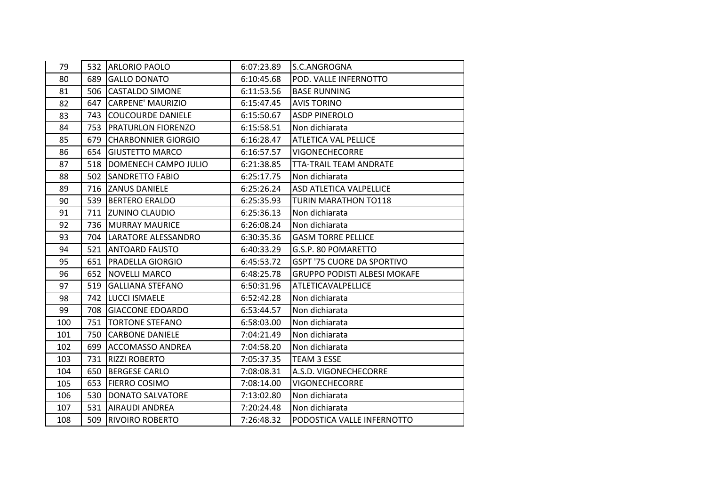| 79  |     | 532 ARLORIO PAOLO          | 6:07:23.89 | S.C.ANGROGNA                        |
|-----|-----|----------------------------|------------|-------------------------------------|
| 80  | 689 | <b>GALLO DONATO</b>        | 6:10:45.68 | POD. VALLE INFERNOTTO               |
| 81  |     | 506 CASTALDO SIMONE        | 6:11:53.56 | <b>BASE RUNNING</b>                 |
| 82  | 647 | <b>CARPENE' MAURIZIO</b>   | 6:15:47.45 | <b>AVIS TORINO</b>                  |
| 83  | 743 | <b>COUCOURDE DANIELE</b>   | 6:15:50.67 | <b>ASDP PINEROLO</b>                |
| 84  | 753 | <b>PRATURLON FIORENZO</b>  | 6:15:58.51 | Non dichiarata                      |
| 85  | 679 | <b>CHARBONNIER GIORGIO</b> | 6:16:28.47 | <b>ATLETICA VAL PELLICE</b>         |
| 86  | 654 | <b>GIUSTETTO MARCO</b>     | 6:16:57.57 | <b>VIGONECHECORRE</b>               |
| 87  | 518 | DOMENECH CAMPO JULIO       | 6:21:38.85 | <b>TTA-TRAIL TEAM ANDRATE</b>       |
| 88  | 502 | <b>SANDRETTO FABIO</b>     | 6:25:17.75 | Non dichiarata                      |
| 89  | 716 | <b>ZANUS DANIELE</b>       | 6:25:26.24 | ASD ATLETICA VALPELLICE             |
| 90  | 539 | <b>BERTERO ERALDO</b>      | 6:25:35.93 | <b>TURIN MARATHON TO118</b>         |
| 91  | 711 | <b>IZUNINO CLAUDIO</b>     | 6:25:36.13 | Non dichiarata                      |
| 92  | 736 | <b>MURRAY MAURICE</b>      | 6:26:08.24 | Non dichiarata                      |
| 93  |     | 704   LARATORE ALESSANDRO  | 6:30:35.36 | <b>GASM TORRE PELLICE</b>           |
| 94  | 521 | <b>ANTOARD FAUSTO</b>      | 6:40:33.29 | G.S.P. 80 POMARETTO                 |
| 95  | 651 | <b>PRADELLA GIORGIO</b>    | 6:45:53.72 | <b>GSPT '75 CUORE DA SPORTIVO</b>   |
| 96  | 652 | NOVELLI MARCO              | 6:48:25.78 | <b>GRUPPO PODISTI ALBESI MOKAFE</b> |
| 97  | 519 | <b>GALLIANA STEFANO</b>    | 6:50:31.96 | <b>ATLETICAVALPELLICE</b>           |
| 98  | 742 | <b>LUCCI ISMAELE</b>       | 6:52:42.28 | Non dichiarata                      |
| 99  | 708 | <b>GIACCONE EDOARDO</b>    | 6:53:44.57 | Non dichiarata                      |
| 100 | 751 | <b>TORTONE STEFANO</b>     | 6:58:03.00 | Non dichiarata                      |
| 101 | 750 | <b>CARBONE DANIELE</b>     | 7:04:21.49 | Non dichiarata                      |
| 102 | 699 | <b>ACCOMASSO ANDREA</b>    | 7:04:58.20 | Non dichiarata                      |
| 103 | 731 | <b>RIZZI ROBERTO</b>       | 7:05:37.35 | TEAM 3 ESSE                         |
| 104 | 650 | <b>BERGESE CARLO</b>       | 7:08:08.31 | A.S.D. VIGONECHECORRE               |
| 105 | 653 | <b>FIERRO COSIMO</b>       | 7:08:14.00 | <b>VIGONECHECORRE</b>               |
| 106 | 530 | DONATO SALVATORE           | 7:13:02.80 | Non dichiarata                      |
| 107 | 531 | <b>AIRAUDI ANDREA</b>      | 7:20:24.48 | Non dichiarata                      |
| 108 | 509 | <b>RIVOIRO ROBERTO</b>     | 7:26:48.32 | PODOSTICA VALLE INFERNOTTO          |
|     |     |                            |            |                                     |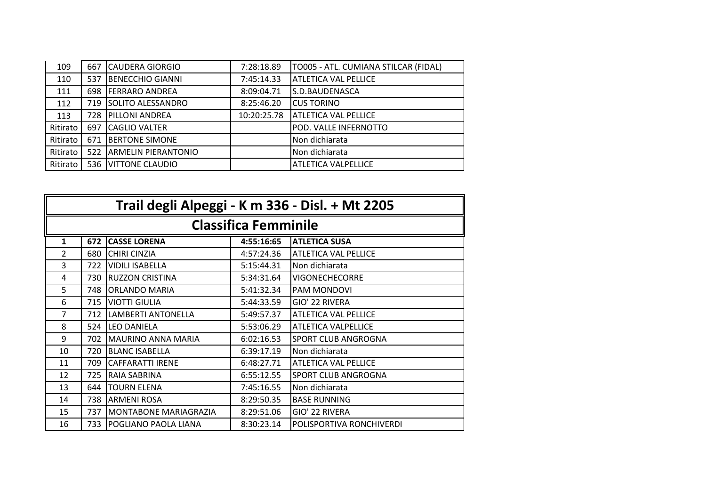| 109      | 667 | <b>CAUDERA GIORGIO</b>      | 7:28:18.89  | TO005 - ATL. CUMIANA STILCAR (FIDAL) |
|----------|-----|-----------------------------|-------------|--------------------------------------|
| 110      | 537 | <b>BENECCHIO GIANNI</b>     | 7:45:14.33  | <b>ATLETICA VAL PELLICE</b>          |
| 111      | 698 | <b>FERRARO ANDREA</b>       | 8:09:04.71  | S.D.BAUDENASCA                       |
| 112      | 719 | <b>SOLITO ALESSANDRO</b>    | 8:25:46.20  | <b>CUS TORINO</b>                    |
| 113      | 728 | <b>IPILLONI ANDREA</b>      | 10:20:25.78 | <b>ATLETICA VAL PELLICE</b>          |
| Ritirato | 697 | <b>ICAGLIO VALTER</b>       |             | POD. VALLE INFERNOTTO                |
| Ritirato | 671 | <b>IBERTONE SIMONE</b>      |             | Non dichiarata                       |
| Ritirato | 522 | <b>JARMELIN PIERANTONIO</b> |             | Non dichiarata                       |
| Ritirato |     | 536 VITTONE CLAUDIO         |             | <b>ATLETICA VALPELLICE</b>           |
|          |     |                             |             |                                      |

|                | Trail degli Alpeggi - K m 336 - Disl. + Mt 2205 |                              |                             |                             |  |
|----------------|-------------------------------------------------|------------------------------|-----------------------------|-----------------------------|--|
|                |                                                 |                              | <b>Classifica Femminile</b> |                             |  |
| 1              | 672                                             | <b>CASSE LORENA</b>          | 4:55:16:65                  | <b>ATLETICA SUSA</b>        |  |
| $\overline{2}$ | 680                                             | <b>CHIRI CINZIA</b>          | 4:57:24.36                  | <b>ATLETICA VAL PELLICE</b> |  |
| 3              | 722                                             | <b>VIDILI ISABELLA</b>       | 5:15:44.31                  | Non dichiarata              |  |
| 4              | 730                                             | <b>RUZZON CRISTINA</b>       | 5:34:31.64                  | <b>VIGONECHECORRE</b>       |  |
| 5              | 748                                             | <b>ORLANDO MARIA</b>         | 5:41:32.34                  | <b>PAM MONDOVI</b>          |  |
| 6              | 715                                             | <b>VIOTTI GIULIA</b>         | 5:44:33.59                  | GIO' 22 RIVERA              |  |
| 7              | 712                                             | LAMBERTI ANTONELLA           | 5:49:57.37                  | <b>ATLETICA VAL PELLICE</b> |  |
| 8              | 524                                             | <b>LEO DANIELA</b>           | 5:53:06.29                  | <b>ATLETICA VALPELLICE</b>  |  |
| 9              | 702                                             | <b>MAURINO ANNA MARIA</b>    | 6:02:16.53                  | <b>SPORT CLUB ANGROGNA</b>  |  |
| 10             | 720                                             | <b>BLANC ISABELLA</b>        | 6:39:17.19                  | Non dichiarata              |  |
| 11             | 709                                             | <b>CAFFARATTI IRENE</b>      | 6:48:27.71                  | <b>ATLETICA VAL PELLICE</b> |  |
| 12             | 725                                             | <b>RAIA SABRINA</b>          | 6:55:12.55                  | <b>SPORT CLUB ANGROGNA</b>  |  |
| 13             | 644                                             | <b>TOURN ELENA</b>           | 7:45:16.55                  | Non dichiarata              |  |
| 14             | 738                                             | <b>ARMENI ROSA</b>           | 8:29:50.35                  | <b>BASE RUNNING</b>         |  |
| 15             | 737                                             | <b>MONTABONE MARIAGRAZIA</b> | 8:29:51.06                  | GIO' 22 RIVERA              |  |
| 16             | 733                                             | <b>POGLIANO PAOLA LIANA</b>  | 8:30:23.14                  | POLISPORTIVA RONCHIVERDI    |  |